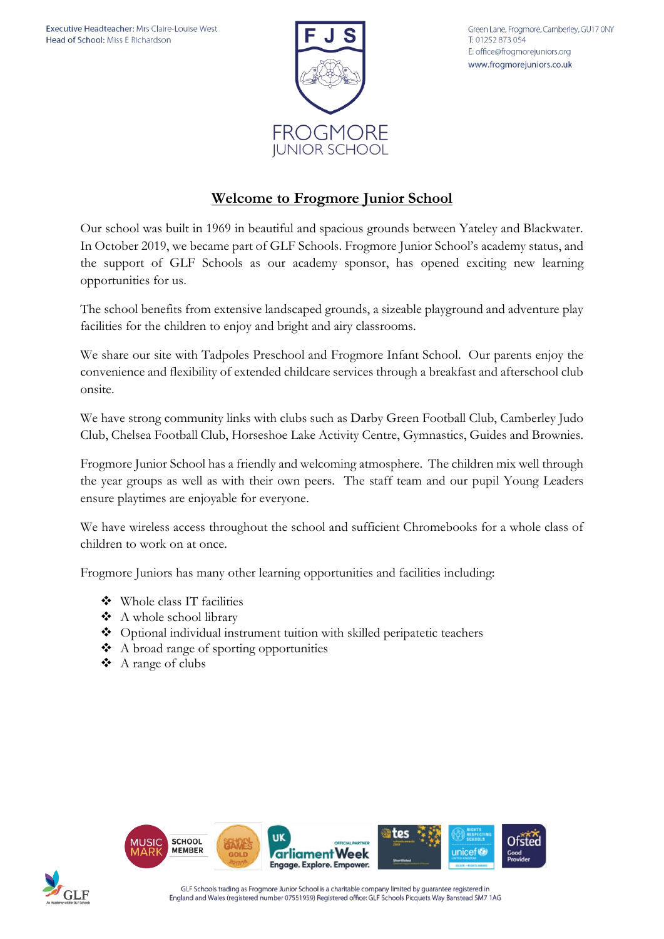

Green Lane, Frogmore, Camberley, GU17 0NY T: 01252 873 054 E: office@frogmorejuniors.org www.frogmorejuniors.co.uk

# **Welcome to Frogmore Junior School**

Our school was built in 1969 in beautiful and spacious grounds between Yateley and Blackwater. In October 2019, we became part of GLF Schools. Frogmore Junior School's academy status, and the support of GLF Schools as our academy sponsor, has opened exciting new learning opportunities for us.

The school benefits from extensive landscaped grounds, a sizeable playground and adventure play facilities for the children to enjoy and bright and airy classrooms.

We share our site with Tadpoles Preschool and Frogmore Infant School. Our parents enjoy the convenience and flexibility of extended childcare services through a breakfast and afterschool club onsite.

We have strong community links with clubs such as Darby Green Football Club, Camberley Judo Club, Chelsea Football Club, Horseshoe Lake Activity Centre, Gymnastics, Guides and Brownies.

Frogmore Junior School has a friendly and welcoming atmosphere. The children mix well through the year groups as well as with their own peers. The staff team and our pupil Young Leaders ensure playtimes are enjoyable for everyone.

We have wireless access throughout the school and sufficient Chromebooks for a whole class of children to work on at once.

Frogmore Juniors has many other learning opportunities and facilities including:

- ❖ Whole class IT facilities
- ❖ A whole school library
- ❖ Optional individual instrument tuition with skilled peripatetic teachers
- ❖ A broad range of sporting opportunities
- ❖ A range of clubs



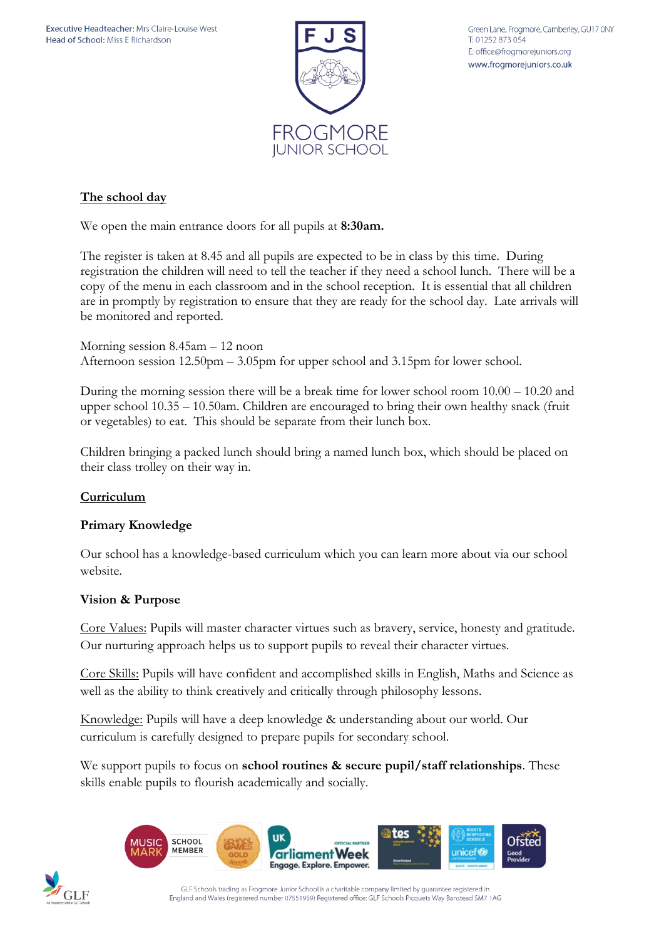

Green Lane, Frogmore, Camberley, GU17 0NY T: 01252 873 054 E: office@frogmorejuniors.org www.frogmorejuniors.co.uk

## **The school day**

We open the main entrance doors for all pupils at **8:30am.** 

The register is taken at 8.45 and all pupils are expected to be in class by this time. During registration the children will need to tell the teacher if they need a school lunch. There will be a copy of the menu in each classroom and in the school reception. It is essential that all children are in promptly by registration to ensure that they are ready for the school day. Late arrivals will be monitored and reported.

Morning session 8.45am – 12 noon Afternoon session 12.50pm – 3.05pm for upper school and 3.15pm for lower school.

During the morning session there will be a break time for lower school room 10.00 – 10.20 and upper school 10.35 – 10.50am. Children are encouraged to bring their own healthy snack (fruit or vegetables) to eat. This should be separate from their lunch box.

Children bringing a packed lunch should bring a named lunch box, which should be placed on their class trolley on their way in.

### **Curriculum**

### **Primary Knowledge**

Our school has a knowledge-based curriculum which you can learn more about via our school website.

### **Vision & Purpose**

Core Values: Pupils will master character virtues such as bravery, service, honesty and gratitude. Our nurturing approach helps us to support pupils to reveal their character virtues.

Core Skills: Pupils will have confident and accomplished skills in English, Maths and Science as well as the ability to think creatively and critically through philosophy lessons.

Knowledge: Pupils will have a deep knowledge & understanding about our world. Our curriculum is carefully designed to prepare pupils for secondary school.

We support pupils to focus on **school routines & secure pupil/staff relationships**. These skills enable pupils to flourish academically and socially.





GLF Schools trading as Frogmore Junior School is a charitable company limited by guarantee registered in England and Wales (registered number 07551959) Registered office: GLF Schools Picquets Way Banstead SM7 1AG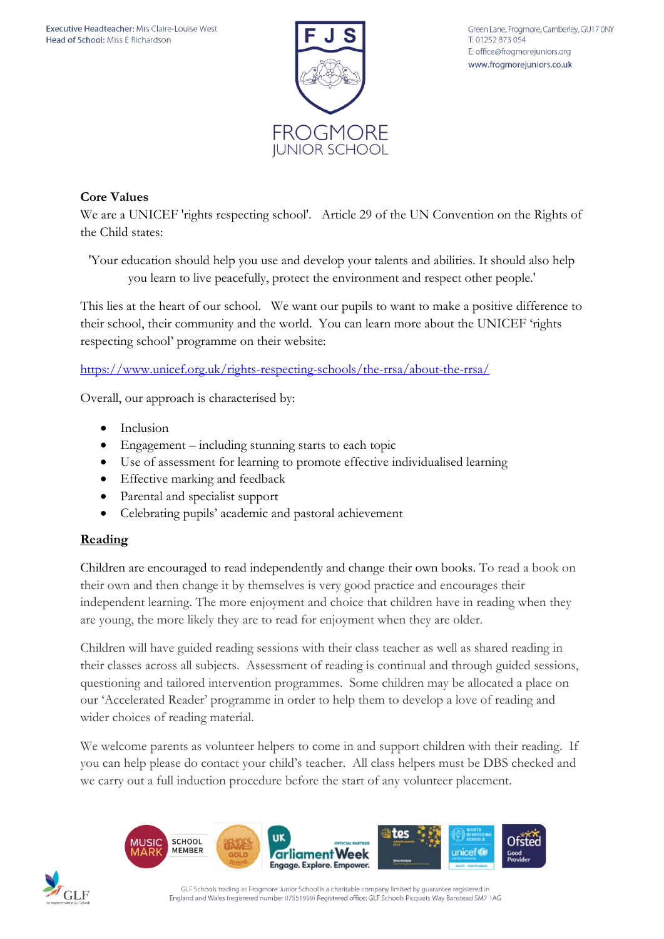

## **Core Values**

We are a UNICEF 'rights respecting school'. Article 29 of the UN Convention on the Rights of the Child states:

'Your education should help you use and develop your talents and abilities. It should also help you learn to live peacefully, protect the environment and respect other people.'

This lies at the heart of our school. We want our pupils to want to make a positive difference to their school, their community and the world. You can learn more about the UNICEF 'rights respecting school' programme on their website:

<https://www.unicef.org.uk/rights-respecting-schools/the-rrsa/about-the-rrsa/>

Overall, our approach is characterised by:

- Inclusion
- Engagement including stunning starts to each topic
- Use of assessment for learning to promote effective individualised learning
- Effective marking and feedback
- Parental and specialist support
- Celebrating pupils' academic and pastoral achievement

### **Reading**

Children are encouraged to read independently and change their own books. To read a book on their own and then change it by themselves is very good practice and encourages their independent learning. The more enjoyment and choice that children have in reading when they are young, the more likely they are to read for enjoyment when they are older.

Children will have guided reading sessions with their class teacher as well as shared reading in their classes across all subjects. Assessment of reading is continual and through guided sessions, questioning and tailored intervention programmes. Some children may be allocated a place on our 'Accelerated Reader' programme in order to help them to develop a love of reading and wider choices of reading material.

We welcome parents as volunteer helpers to come in and support children with their reading. If you can help please do contact your child's teacher. All class helpers must be DBS checked and we carry out a full induction procedure before the start of any volunteer placement.



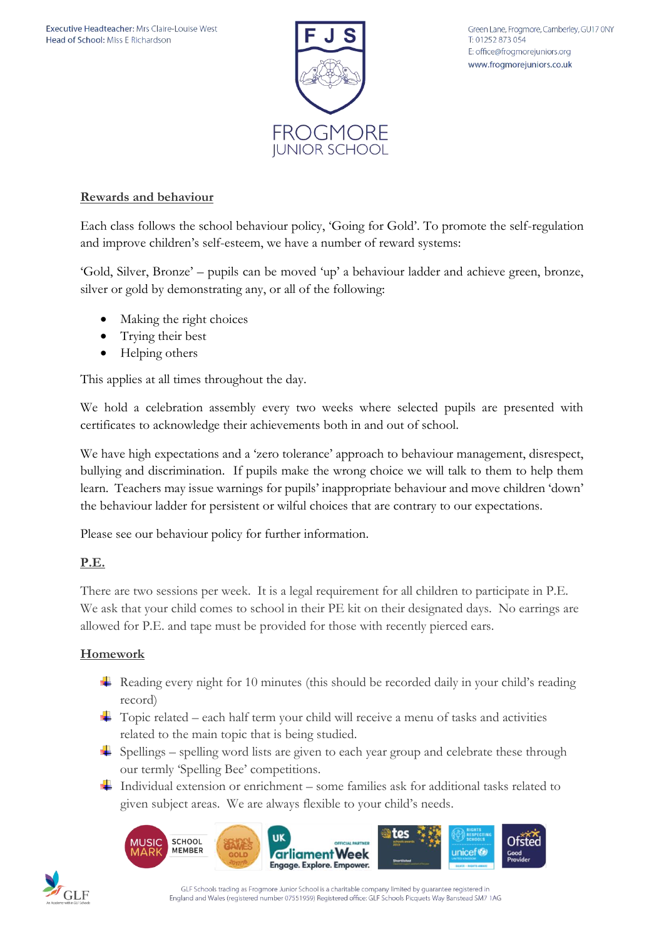

## **Rewards and behaviour**

Each class follows the school behaviour policy, 'Going for Gold'. To promote the self-regulation and improve children's self-esteem, we have a number of reward systems:

'Gold, Silver, Bronze' – pupils can be moved 'up' a behaviour ladder and achieve green, bronze, silver or gold by demonstrating any, or all of the following:

- Making the right choices
- Trying their best
- Helping others

This applies at all times throughout the day.

We hold a celebration assembly every two weeks where selected pupils are presented with certificates to acknowledge their achievements both in and out of school.

We have high expectations and a 'zero tolerance' approach to behaviour management, disrespect, bullying and discrimination. If pupils make the wrong choice we will talk to them to help them learn. Teachers may issue warnings for pupils' inappropriate behaviour and move children 'down' the behaviour ladder for persistent or wilful choices that are contrary to our expectations.

Please see our behaviour policy for further information.

### **P.E.**

There are two sessions per week. It is a legal requirement for all children to participate in P.E. We ask that your child comes to school in their PE kit on their designated days. No earrings are allowed for P.E. and tape must be provided for those with recently pierced ears.

### **Homework**

- Reading every night for 10 minutes (this should be recorded daily in your child's reading record)
- $\overline{\text{Topic related}}$  each half term your child will receive a menu of tasks and activities related to the main topic that is being studied.
- $\frac{1}{\sqrt{2}}$  Spellings spelling word lists are given to each year group and celebrate these through our termly 'Spelling Bee' competitions.
- Individual extension or enrichment some families ask for additional tasks related to given subject areas. We are always flexible to your child's needs.





GLF Schools trading as Frogmore Junior School is a charitable company limited by guarantee registered in England and Wales (registered number 07551959) Registered office: GLF Schools Picquets Way Banstead SM7 1AG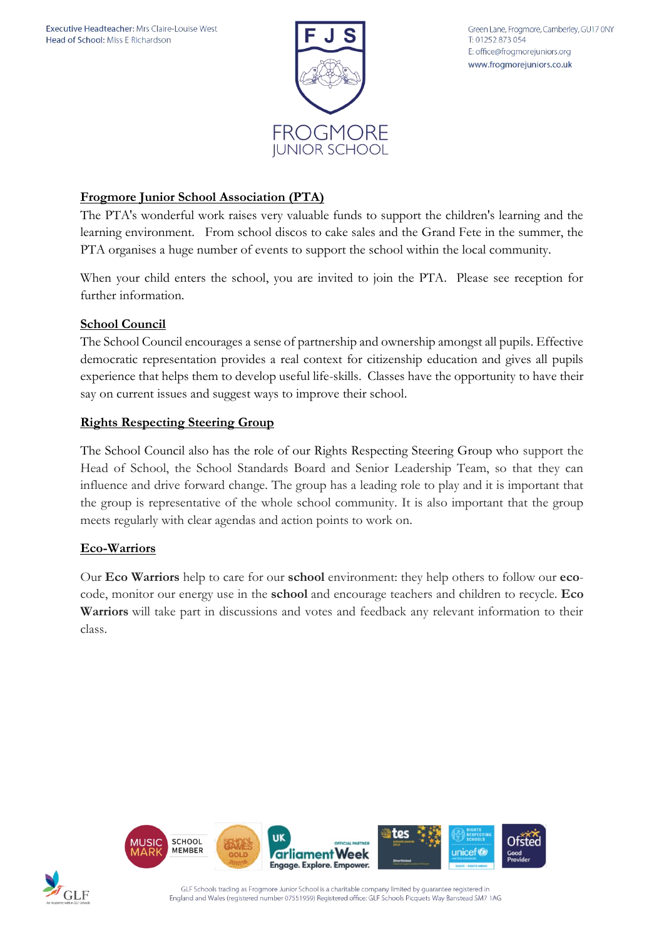

Green Lane, Frogmore, Camberley, GU17 0NY T: 01252 873 054 E: office@frogmorejuniors.org www.frogmorejuniors.co.uk

### **Frogmore Junior School Association (PTA)**

The PTA's wonderful work raises very valuable funds to support the children's learning and the learning environment. From school discos to cake sales and the Grand Fete in the summer, the PTA organises a huge number of events to support the school within the local community.

When your child enters the school, you are invited to join the PTA. Please see reception for further information.

### **School Council**

The School Council encourages a sense of partnership and ownership amongst all pupils. Effective democratic representation provides a real context for citizenship education and gives all pupils experience that helps them to develop useful life-skills. Classes have the opportunity to have their say on current issues and suggest ways to improve their school.

#### **Rights Respecting Steering Group**

The School Council also has the role of our Rights Respecting Steering Group who support the Head of School, the School Standards Board and Senior Leadership Team, so that they can influence and drive forward change. The group has a leading role to play and it is important that the group is representative of the whole school community. It is also important that the group meets regularly with clear agendas and action points to work on.

### **Eco-Warriors**

Our **Eco Warriors** help to care for our **school** environment: they help others to follow our **eco**code, monitor our energy use in the **school** and encourage teachers and children to recycle. **Eco Warriors** will take part in discussions and votes and feedback any relevant information to their class.





GLF Schools trading as Frogmore Junior School is a charitable company limited by guarantee registered in England and Wales (registered number 07551959) Registered office: GLF Schools Picquets Way Banstead SM7 1AG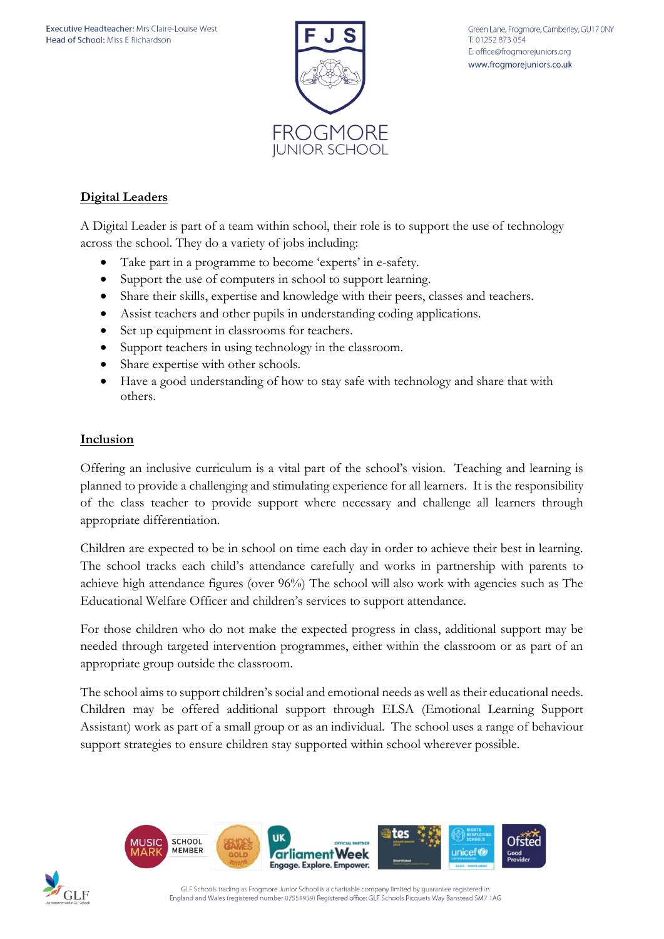

# **Digital Leaders**

A Digital Leader is part of a team within school, their role is to support the use of technology across the school. They do a variety of jobs including:

- Take part in a programme to become 'experts' in e-safety.
- Support the use of computers in school to support learning.
- Share their skills, expertise and knowledge with their peers, classes and teachers.
- Assist teachers and other pupils in understanding coding applications.
- Set up equipment in classrooms for teachers.
- Support teachers in using technology in the classroom.
- Share expertise with other schools.
- Have a good understanding of how to stay safe with technology and share that with others.

### **Inclusion**

Offering an inclusive curriculum is a vital part of the school's vision. Teaching and learning is planned to provide a challenging and stimulating experience for all learners. It is the responsibility of the class teacher to provide support where necessary and challenge all learners through appropriate differentiation.

Children are expected to be in school on time each day in order to achieve their best in learning. The school tracks each child's attendance carefully and works in partnership with parents to achieve high attendance figures (over 96%) The school will also work with agencies such as The Educational Welfare Officer and children's services to support attendance.

For those children who do not make the expected progress in class, additional support may be needed through targeted intervention programmes, either within the classroom or as part of an appropriate group outside the classroom.

The school aims to support children's social and emotional needs as well as their educational needs. Children may be offered additional support through ELSA (Emotional Learning Support Assistant) work as part of a small group or as an individual. The school uses a range of behaviour support strategies to ensure children stay supported within school wherever possible.



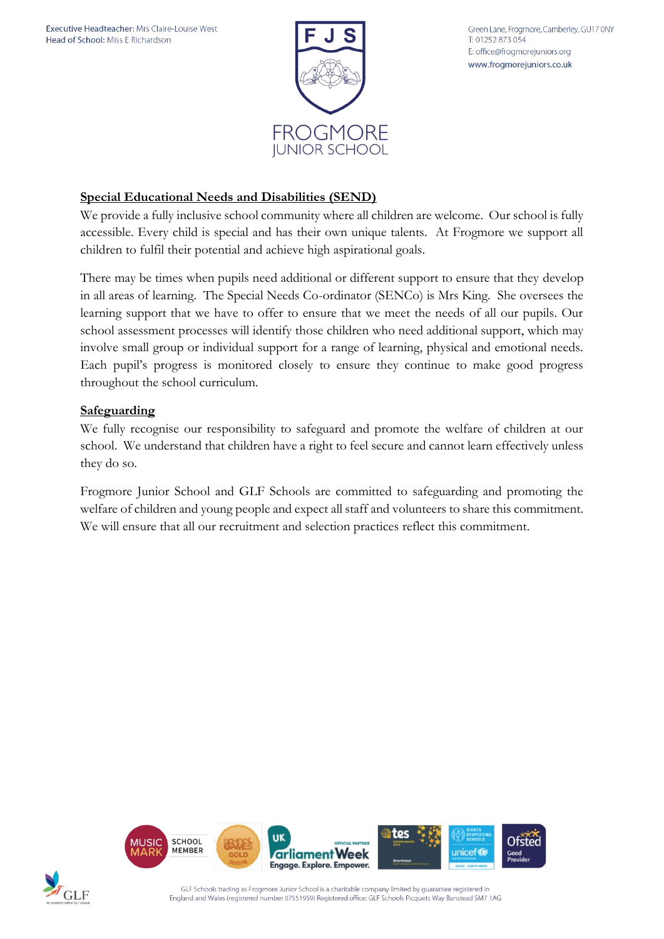

## **Special Educational Needs and Disabilities (SEND)**

We provide a fully inclusive school community where all children are welcome. Our school is fully accessible. Every child is special and has their own unique talents. At Frogmore we support all children to fulfil their potential and achieve high aspirational goals.

There may be times when pupils need additional or different support to ensure that they develop in all areas of learning. The Special Needs Co-ordinator (SENCo) is Mrs King. She oversees the learning support that we have to offer to ensure that we meet the needs of all our pupils. Our school assessment processes will identify those children who need additional support, which may involve small group or individual support for a range of learning, physical and emotional needs. Each pupil's progress is monitored closely to ensure they continue to make good progress throughout the school curriculum.

### **Safeguarding**

We fully recognise our responsibility to safeguard and promote the welfare of children at our school. We understand that children have a right to feel secure and cannot learn effectively unless they do so.

Frogmore Junior School and GLF Schools are committed to safeguarding and promoting the welfare of children and young people and expect all staff and volunteers to share this commitment. We will ensure that all our recruitment and selection practices reflect this commitment.